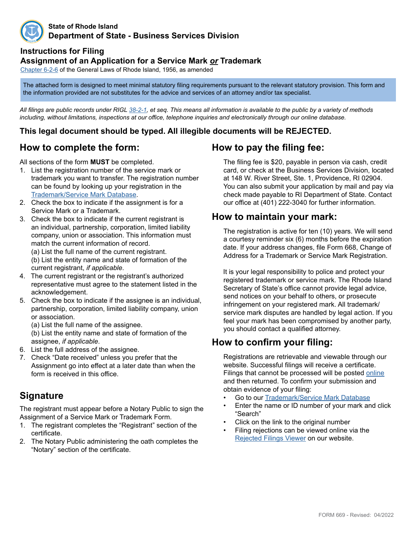

#### **State of Rhode Island Department of State - Business Services Division**

#### **Instructions for Filing**

#### **Assignment of an Application for a Service Mark** *or* **Trademark**

Chapte[r 6](http://webserver.rilin.state.ri.us/Statutes/TITLE6/6-2/6-2-6.HTM)-2-6 of the General Laws of Rhode Island, 1956, as amended

The attached form is designed to meet minimal statutory filing requirements pursuant to the relevant statutory provision. This form and the information provided are not substitutes for the advice and services of an attorney and/or tax specialist.

*All filings are public records under RIGL [38-2-1](http://webserver.rilin.state.ri.us/Statutes/TITLE38/38-2/38-2-1.HTM), et seq. This means all information is available to the public by a variety of methods including, without limitations, inspections at our office, telephone inquiries and electronically through our online database.*

#### **This legal document should be typed. All illegible documents will be REJECTED.**

### **How to complete the form:**

All sections of the form **MUST** be completed.

- 1. List the registration number of the service mark or trademark you want to transfer. The registration number can be found by looking up your registration in the [Trademark/Service Mark Database.](http://business.sos.ri.gov/corpweb/TrademarkSearch/TrademarkSearch.aspx)
- 2. Check the box to indicate if the assignment is for a Service Mark or a Trademark.
- 3. Check the box to indicate if the current registrant is an individual, partnership, corporation, limited liability company, union or association. This information must match the current information of record.

(a) List the full name of the current registrant. (b) List the entity name and state of formation of the

current registrant, *if applicable*.

- 4. The current registrant or the registrant's authorized representative must agree to the statement listed in the acknowledgement.
- 5. Check the box to indicate if the assignee is an individual, partnership, corporation, limited liability company, union or association.
	- (a) List the full name of the assignee.
	- (b) List the entity name and state of formation of the assignee, *if applicable*.
- 6. List the full address of the assignee.
- 7. Check "Date received" unless you prefer that the Assignment go into effect at a later date than when the form is received in this office.

# **Signature**

The registrant must appear before a Notary Public to sign the Assignment of a Service Mark or Trademark Form.

- 1. The registrant completes the "Registrant" section of the certificate.
- 2. The Notary Public administering the oath completes the "Notary" section of the certificate.

# **How to pay the filing fee:**

The filing fee is \$20, payable in person via cash, credit card, or check at the Business Services Division, located at 148 W. River Street, Ste. 1, Providence, RI 02904. You can also submit your application by mail and pay via check made payable to RI Department of State. Contact our office at (401) 222-3040 for further information.

### **How to maintain your mark:**

The registration is active for ten (10) years. We will send a courtesy reminder six (6) months before the expiration date. If your address changes, file Form 668, Change of Address for a Trademark or Service Mark Registration.

 It is your legal responsibility to police and protect your registered trademark or service mark. The Rhode Island Secretary of State's office cannot provide legal advice, send notices on your behalf to others, or prosecute infringement on your registered mark. All trademark/ service mark disputes are handled by legal action. If you feel your mark has been compromised by another party, you should contact a qualified attorney.

# **How to confirm your filing:**

Registrations are retrievable and viewable through our website. Successful filings will receive a certificate. Filings that cannot be processed will be posted [online](http://business.sos.ri.gov/corpreject/corprejectionslist.asp) and then returned. To confirm your submission and obtain evidence of your filing:

- Go to our Trademark/Service Mark [Database](http://business.sos.ri.gov/corpweb/TrademarkSearch/TrademarkSearch.aspx)
- Enter the name or ID number of your mark and click "Search"
- Click on the link to the original number
- Filing rejections can be viewed online via the [Rejected Filings Viewer](http://business.sos.ri.gov/corpreject/corprejectionslist.asp) on our website.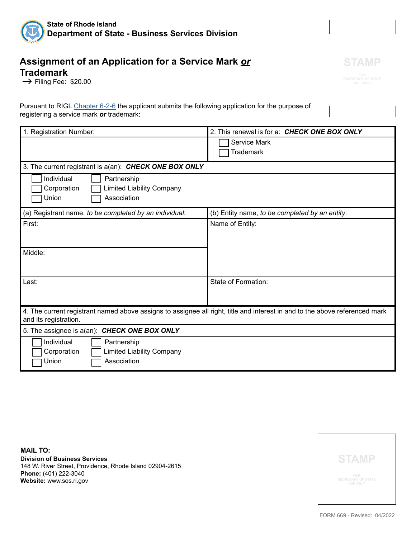

### **Assignment of an Application for a Service Mark** *or* **Trademark**

 $\rightarrow$  Filing Fee: \$20.00

Pursuant to RIGL [Chapter 6-2](http://webserver.rilin.state.ri.us/Statutes/TITLE6/6-2/6-2-6.HTM)-6 the applicant submits the following application for the purpose of registering a service mark *or* trademark:

| 1. Registration Number:                                                                                                     | 2. This renewal is for a: CHECK ONE BOX ONLY   |  |
|-----------------------------------------------------------------------------------------------------------------------------|------------------------------------------------|--|
|                                                                                                                             |                                                |  |
|                                                                                                                             | Service Mark                                   |  |
|                                                                                                                             | <b>Trademark</b>                               |  |
|                                                                                                                             |                                                |  |
| 3. The current registrant is a(an): CHECK ONE BOX ONLY                                                                      |                                                |  |
| Individual<br>Partnership                                                                                                   |                                                |  |
| <b>Limited Liability Company</b><br>Corporation                                                                             |                                                |  |
| Association<br>Union                                                                                                        |                                                |  |
|                                                                                                                             |                                                |  |
| (a) Registrant name, to be completed by an individual:                                                                      | (b) Entity name, to be completed by an entity: |  |
| First:                                                                                                                      | Name of Entity:                                |  |
|                                                                                                                             |                                                |  |
|                                                                                                                             |                                                |  |
| Middle:                                                                                                                     |                                                |  |
|                                                                                                                             |                                                |  |
|                                                                                                                             |                                                |  |
|                                                                                                                             |                                                |  |
| Last:                                                                                                                       | State of Formation:                            |  |
|                                                                                                                             |                                                |  |
|                                                                                                                             |                                                |  |
| 4. The current registrant named above assigns to assignee all right, title and interest in and to the above referenced mark |                                                |  |
| and its registration.                                                                                                       |                                                |  |
| 5. The assignee is a(an): CHECK ONE BOX ONLY                                                                                |                                                |  |
| Individual<br>Partnership                                                                                                   |                                                |  |
| <b>Limited Liability Company</b><br>Corporation                                                                             |                                                |  |
| Association<br>Union                                                                                                        |                                                |  |
|                                                                                                                             |                                                |  |

**MAIL TO: Division of Business Services** 148 W. River Street, Providence, Rhode Island 02904-2615 **Phone:** (401) 222-3040 **Website:** www.sos.ri.gov



FORM 669 - Revised: 04/2022

**STAMP**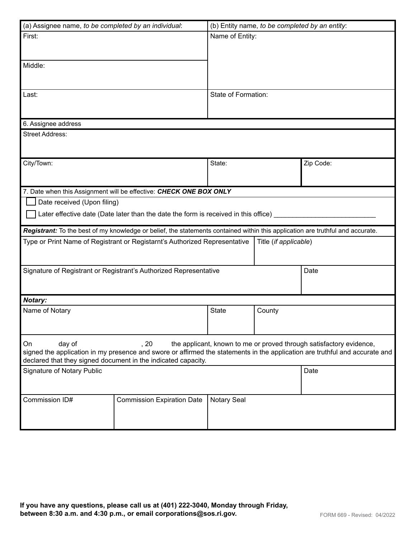| (a) Assignee name, to be completed by an individual:                                                                                                                                                                                                                                        |                                                                                                                                | (b) Entity name, to be completed by an entity: |                       |           |  |
|---------------------------------------------------------------------------------------------------------------------------------------------------------------------------------------------------------------------------------------------------------------------------------------------|--------------------------------------------------------------------------------------------------------------------------------|------------------------------------------------|-----------------------|-----------|--|
| First:                                                                                                                                                                                                                                                                                      |                                                                                                                                | Name of Entity:                                |                       |           |  |
| Middle:                                                                                                                                                                                                                                                                                     |                                                                                                                                |                                                |                       |           |  |
| Last:                                                                                                                                                                                                                                                                                       |                                                                                                                                | State of Formation:                            |                       |           |  |
| 6. Assignee address                                                                                                                                                                                                                                                                         |                                                                                                                                |                                                |                       |           |  |
| <b>Street Address:</b>                                                                                                                                                                                                                                                                      |                                                                                                                                |                                                |                       |           |  |
| City/Town:                                                                                                                                                                                                                                                                                  |                                                                                                                                | State:                                         |                       | Zip Code: |  |
|                                                                                                                                                                                                                                                                                             | 7. Date when this Assignment will be effective: CHECK ONE BOX ONLY                                                             |                                                |                       |           |  |
| Date received (Upon filing)                                                                                                                                                                                                                                                                 |                                                                                                                                |                                                |                       |           |  |
| Later effective date (Date later than the date the form is received in this office) ____                                                                                                                                                                                                    |                                                                                                                                |                                                |                       |           |  |
|                                                                                                                                                                                                                                                                                             | Registrant: To the best of my knowledge or belief, the statements contained within this application are truthful and accurate. |                                                |                       |           |  |
| Type or Print Name of Registrant or Registarnt's Authorized Representative                                                                                                                                                                                                                  |                                                                                                                                |                                                | Title (if applicable) |           |  |
| Signature of Registrant or Registrant's Authorized Representative                                                                                                                                                                                                                           |                                                                                                                                |                                                | Date                  |           |  |
| Notary:                                                                                                                                                                                                                                                                                     |                                                                                                                                |                                                |                       |           |  |
| Name of Notary                                                                                                                                                                                                                                                                              |                                                                                                                                | State                                          | County                |           |  |
| On<br>day of<br>, 20<br>the applicant, known to me or proved through satisfactory evidence,<br>signed the application in my presence and swore or affirmed the statements in the application are truthful and accurate and<br>declared that they signed document in the indicated capacity. |                                                                                                                                |                                                |                       |           |  |
| <b>Signature of Notary Public</b>                                                                                                                                                                                                                                                           |                                                                                                                                |                                                |                       | Date      |  |
| Commission ID#                                                                                                                                                                                                                                                                              | <b>Commission Expiration Date</b>                                                                                              | <b>Notary Seal</b>                             |                       |           |  |